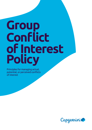# **Group Conflict of Interest Policy**

Principles for managing actual, potential, or perceived conflicts of interest

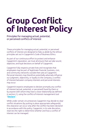## **Group Conflict of Interest Policy**

Principles for managing actual, potential, or perceived conflicts of interest

These principles for managing actual, potential, or perceived conflicts of interest are designed to help us abide by the ethical principles set out in Capgemini's Code of Business Ethics.

As part of our continuous effort to protect and enhance Capgemini's reputation, we must all ensure that we take sound, objective, and loyal decisions on behalf of Capgemini.

Capgemini fully respects private lives and recognizes that employees may be part of legitimate financial, business, civic, and community networks outside their jobs at Capgemini. Personal interests may therefore potentially adversely influence our judgment, objectivity, or loyalty to the company; a conflict of interest between company interests and personal interests may occur.

Capgemini expects employees to declare promptly any conflict of interest (actual, potential, or perceived) faced by them or by anyone with whom they have a close relationship (as defined in section 2.), using the conflict-of-interest management tool "**[Declare](https://app.convercent.com/disclosures/NewDisclosure)**".

While under certain circumstances Capgemini may decide to clear conflict situations (by putting in place appropriate safeguards), this clearance can occur only after the conflict has been declared in accordance with this policy; Capgemini, in its sole discretion, reserves the right to determine whether and how a conflict of interest can be managed.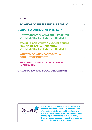#### **CONTENTS**

| <b>2. WHAT IS A CONFLICT OF INTEREST?</b> 4                                         |  |
|-------------------------------------------------------------------------------------|--|
| 3. HOW TO IDENTIFY AN ACTUAL, POTENTIAL,<br>OR PERCEIVED CONFLICT OF INTEREST 5     |  |
| <b>4. EXAMPLES OF SITUATIONS WHERE THERE</b><br><b>MAY BE AN ACTUAL, POTENTIAL,</b> |  |
| 5. WHAT TO DO WHEN FACED WITH A                                                     |  |
| 6. MANAGING CONFLICTS OF INTEREST                                                   |  |
| 7. ADAPTATION AND LOCAL OBLIGATIONS <b>ADAPTATION</b>                               |  |
|                                                                                     |  |



There is nothing wrong in being confronted with a conflict of interest—each of us has a social life. What matters is to be aware of the existence of actual, potential, or perceived conflicts of interest, and to properly declare any such conflict and, if you are a team manager, to clear it in accordance with our policy and ethical principles.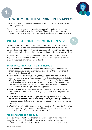

## **TO WHOM DO THESE PRINCIPLES APPLY?**

These principles apply to all employees and board members, for all companies of the Capgemini Group.

Team managers have special responsibilities under this policy to manage their own actual, potential, or perceived conflicts of interest, but also the actual, potential, or perceived conflicts of interest of all employees who report to them.

## **WHAT IS A CONFLICT OF INTEREST?**

**2.**

A conflict of interest arises when our personal interests—be they financial or other interests, our own interests or those of someone with whom we have a close relationship—actually influence, potentially influence, or may be perceived to influence, the objective exercise of our professional duties and responsibilities.

In cases of conflict of interest, judgment can be distorted, and decisions taken may be more in favor of our own interests than those of Capgemini (which mainly concern sustainable growth and profitability).

#### **TYPES OF CONFLICT OF INTEREST INCLUDE:**

- 1. Outside business interest: When you have a second job or side business, or participate in other activities that may conflict with the performance of your duties for Capgemini.
- **2. Close relationship:** When you have, or any person with whom you have a close relationship has, a close relationship (as defined here in section 2, below.) with: (I) a board member or an employee of Capgemini and/or (II) a trustee, board member, owner, partner, employee, or consultant of an organization that receives services from Capgemini, or provides services to Capgemini, or competes with services provided by Capgemini.
- **3. Board memberships:** When you are a board member of any organization that conducts business that may, or may not, compete with Capgemini's business interests.
- 4. Outside financial interest: When you have, or any person with whom you have a close relationship has, an ownership or equity interests greater than 5% in an organization that is providing services to Capgemini or receiving services from Capgemini.
- **5. When you are involved** in activities or are facing a situation that is not covered under any of the above categories but which you think might be, or might be perceived as, a conflict of interest with respect to Capgemini.

#### **FOR THE PURPOSE OF THIS POLICY,**

a. the term "close relationship" refers to: (I) any person in the employee's immediate or extended family by virtue of birth, adoption, or marriage; or (II) any person with whom the employee has a close personal relationship.

**1.**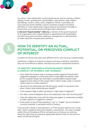

For clarity, "close relationship" would include spouse, partner, parents, children, siblings, in-laws, grandparents, grandchildren, step-parents, step-children, half-siblings, cousins, uncles, aunts, neighbors, friends, roommates, etc. If you have any doubt whether a person would be covered in the above definition of "close relationship", please interpret the definition broadly to assume they are covered and accordingly make a declaration.

b. the term "board member" refers to: a member of the governing board of an organization who is either elected or appointed by the shareholders, and who has powers and duties relating to management or administration, to make important company policy decisions.



### **HOW TO IDENTIFY AN ACTUAL, POTENTIAL, OR PERCEIVED CONFLICT OF INTEREST**

A conflict of interest may take many different forms, and may arise unintentionally.

Sometimes, conflicts of interest are obvious and easy to identify. Sometimes, they are more difficult to detect, and they may arise in unexpected situations.

#### **TO IDENTIFY WHETHER A SITUATION MIGHT CREATE A CONFLICT OF INTEREST, ASK YOURSELF:**

- *"How might this situation look to someone outside Capgemini? Would other Capgemini employees or a third party think it could affect the decision I take for the company? Would I be concerned or uncomfortable if anyone inside Capgemini knew about it? How would I feel if I had to review, audit, or sanction a direct report in a similar situation?"*
- *"By virtue of my relationship with the third party, would I or any person with whom I have a close relationship gain benefit?"*
- *"Is the situation likely to affect any decision I might take at Capgemini?"*
- *"Do I feel a sense of obligation due to the relationship I have with the third party?"*
- *"Does the relationship I have with the third party appear to compromise my ability to make a decision in Capgemini's interest?"*
- *>> If the answer to any of these questions is "yes" or "maybe", you are involved in an actual, potential, or perceived conflict of interest.*

If you are still in doubt or have questions, or if the situation seems to be "a gray area", inform Capgemini about the situation, using Declare. Your team manager and/or Ethics & Compliance Officer will guide you so that you can continue doing the right thing, by making an appropriate decision that is in line with our policy and ethical principles.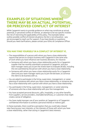## **EXAMPLES OF SITUATIONS WHERE THERE MAY BE AN ACTUAL, POTENTIAL, OR PERCEIVED CONFLICT OF INTEREST**

**4.**

While Capgemini wants to provide guidance on what may constitute an actual, potential, or perceived conflict of interest, an attempt to be too specific involves the risk of restricting the applicability of this policy. The examples below outline possible conflict-of-interest situations; the list is not exhaustive—you are encouraged to reach out for support, if you have doubts or questions. Should you need clarifications, please contact your Ethics & Compliance Officer.

#### **YOU MAY FIND YOURSELF IN A CONFLICT OF INTEREST IF,**

- The responsibilities of a person with whom you have a close relationship require that person to conduct business with Capgemini in the same area of work where you have influence over business decisions, for instance:
	- >> Someone with whom you have a close relationship works for a Capgemini supplier that has recently submitted a proposal to Capgemini, and your team manager wants you to join the review team to evaluate all bids, including the one submitted by the person with whom you have a close relationship.
	- >> Someone with whom you have a close relationship works for a Capgemini client and your team manager wants you to join the bid team, to convince the client to do business with us.
- You are asked to participate in the hiring, supervision, management, or career planning of someone with whom you have a close relationship, or someone who has a close relationship with a person with whom you have a close relationship.
- You participate in the hiring, supervision, management, or career planning of someone who has a close relationship with your line management.
- You have accepted personal discounts, gifts, hospitality, or any other benefits from suppliers, service providers, charitable beneficiary, or customers that might create a sense of obligation.
- You have made improper use of your position at Capgemini or of Capgemini confidential information to achieve a personal interest or indirect gain.

In these examples, there could be a perception that you could take a biased view favoring your own interests, or the interests of those with whom you have a close relationship, rather than acting in Capgemini's best interests.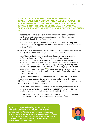#### **YOUR OUTSIDE ACTIVITIES, FINANCIAL INTERESTS, BOARD MEMBERSHIP, OR YOUR KNOWLEDGE OF CAPGEMINI BUSINESS MAY ALSO LEAD TO A CONFLICT OF INTEREST. BE AWARE THAT THIS MIGHT BE THE CASE IF YOU HAVE, OR IF A PERSON WITH WHOM YOU HAVE A CLOSE RELATIONSHIP HAS,**

- A second job or side business (self-employment, freelancing, etc.) that is a direct or indirect competitor, supplier, customer, alliance partner, or charitable beneficiary of Capgemini.
- Financial interest greater than 5% in the total share capital of companies that are Capgemini's suppliers, subcontractors, customers, business partners, or competitors.
- A role as board member in any organization that conducts business that may, or may not, compete with Capgemini's business interests.
- Use of information that is not publicly available, for your own benefit, or for a third party's benefit. This includes notably information relating to Capgemini's commercial strategy or figures, information relating to Capgemini's intellectual property, and clients' or suppliers' confidential information. In addition, be aware that using, disclosing, or advising another person to sell or acquire financial instruments issued by Capgemini based on so-called "inside information" **> 1** is unlawful under criminal laws and securities regulations—on this topic, please refer to Capgemini's prevention of insider trading policy.

Capgemini actively encourages team members, at all levels, to get involved in community activities and donate time, energy, and creativity. However, this might also lead to a conflict of interest if you serve, or a person with whom your have a close relationship serves,

- On the board of directors of a charitable, educational, or other non-profit organization that has some relationship to Capgemini (or which is affiliated to a for-profit company that has some relationship to Capgemini).
- On the board of a for-profit company that is one of Capgemini's suppliers, subcontractors, customers, business partners, or competitors.

1. Inside information may be defined as a precise piece of information that has not been made public and concerns, directly or indirectly, one or several issuers of securities or one or several securities, and which, if made public, would be likely to have a material impact over the price of the concerned securities or the price of the derived securities related thereto. It is a piece of information that a reasonable investor would be likely to use as basis for their investment decisions.

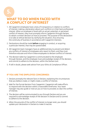

## **WHAT TO DO WHEN FACED WITH A CONFLICT OF INTEREST**

- 1. All Capgemini employees have a duty of transparency in relation to conflicts of interest; making a declaration about such conflicts is in their best professional interest. When an employee is faced with an actual, potential, or perceived conflict of interest, they must promptly inform Capgemini through Declare, to obtain a written decision on how to proceed. The purpose of this declaration is to take an ethical decision by clarifying the situation, thus ensuring the continuity of business in accordance with Capgemini interests.
- 2. Declarations should be made **before** engaging in conduct, or acquiring a particular interest, that may be questionable.
- 3. All Capgemini team managers have an additional duty to prevent and detect any conflicts of interest of employees who report to them, and they must therefore educate and inform these employees to declare conflicts of interest.
- 4. The decision taken by Capgemini is communicated to the employee through Declare, and the employee must acknowledge receipt of the decision, and commit to adhere to the decision, within the Declare tool.
- 5. If still in doubt, please seek advice from your Ethics & Compliance Officer.

#### **IF YOU ARE THE EMPLOYEE CONCERNED:**

- 1. Declare promptly the relevant facts in Declare, explaining the circumstances that you believe create, or might create, a conflict of interest.
- 2. Wait for the formal decision from Capgemini. Capgemini will make efforts to respond with the decision within a reasonable timeframe. Your team manager may also guide or instruct you on how to proceed, to clear the conflict of interest.
- 3. The decision will be communicated to you through Declare and you are required to acknowledge receipt of the decision in Declare and to commit to adhere to the decision.
- 4. When the grounds of the conflict of interest no longer exist, you should update your declaration in Declare to make it inactive.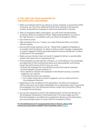#### **IF YOU ARE THE TEAM MANAGER OF THE EMPLOYEE CONCERNED:**

- 1. When an employee informs you about an actual, potential, or perceived conflict of interest, you must first understand all the facts relating to the business context, and guide the employee to submit the declaration in Declare.
- 2. After an employee makes a declaration, you will review the declaration, as will your Ethics & Compliance Officer. Apply these guidelines, to come to the right decision in consultation with your Ethics & Compliance Officer:
- Use common sense.
- Take inspiration from our 7 Values, our Code of Business Ethics, and other relevant policies.
- Ask yourself simple questions such as, *"Would other Capgemini employees or an outsider think the decision I'm about to take as a team manager is appropriate to protect Capgemini? Would I be embarrassed if tomorrow the decision I'm about to take were in the newspaper?"*.
- Make sure your decision does not result in Capgemini being in a questionable position that gives rise to a reputational risk.
- If the employee's private interests influence, or could influence, the impartiality and objectivity of their professional duties and responsibilities, and thereby impact the performance of the Group, you must,
	- Exclude the employee from any decision process that may be impacted by the employee's private interests, or
	- If you decide to maintain the employee in the decision process, to protect Capgemini, you need to:
		- >> Precisely document your decision,
		- >> Put in place measures to protect Capgemini, such as a dual control on the employee's decisions.
- Depending on the complexity of the declaration, the Ethics & Compliance Officer may reach out to other stakeholders (on a need basis), which may include the employee's N+2, the HR Business Partner, and/or the Group Ethics Office, to evaluate the declaration.
- 3. You are also required to confirm the implementation of the final decision on the employee's declaration in the Declare tool. If at a later stage, you find that the employee is not adhering to Capgemini's decision on the declaration, you must promptly report it to your Ethics & Compliance Officer.

**For the detailed process for managing declarations in Declare, please refer to the process document available on the Group Ethics hub [on Talent](https://talent.capgemini.com/global/pages/about_us/global_functions/ethicsandcompliance/declare/)**.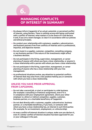

## **MANAGING CONFLICTS OF INTEREST IN SUMMARY**

- Do always inform Capgemini of an actual, potential, or perceived conflict of interest, using Declare. There is nothing wrong with being confronted with a conflict of interest; what matters is to be aware of it and declare it and, if you are a team manager, to clear it in accordance with our policies and ethical principles.
- Do conduct your relationship with customers, suppliers, subcontractors, and business partners free from conflicts of interest and in a professional, impartial, and objective manner.
- Do not invest in a supplier, customer, competitor, consulting company, or any business partner if the nature of the investments might affect a business decision.
- Do not participate in the hiring, supervision, management, or career planning of anyone with whom you have a close relationship, or anyone in a close relationship with a person with whom you have a close relationship.
- Do not participate in the hiring, supervision, management, or career planning of anyone who has a close relationship with your line management.
- As professional situations evolve, pay attention to potential conflicts of interest that may arise from a new position held by you or someone with whom you have a close relationship.

#### **UNLESS YOU HAVE PRIOR APPROVAL FROM CAPGEMINI,**

- Do not take a second job, or start or participate in a side business (for example a consulting or freelance assignment), even if it is in compliance with your employment agreement, where your other employer is a direct or indirect competitor, supplier, customer, business partner, or a charitable beneficiary of Capgemini.
- Do not deal directly with a customer, supplier, subcontractor, business partner, or a charitable beneficiary, if you have, or someone with whom you have a close relationship has, an interest in such third parties (for example, for an investment, employment, or a directorship).
- As every conflict-of-interest situation is unique, make sure you declare it, even if a similar conflict-of-interest situation has been approved for you or your colleague in the past.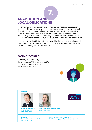## **7. ADAPTATION AND LOCAL OBLIGATIONS**

The principles for managing conflicts of interest may need some adaptation to comply with local laws, which must be applied in accordance with labor and data privacy laws, amongst others. The Board of Directors for Capgemini Group affiliates should be aware that specific obligations to avoid and/or declare conflicts may also be imposed by law and/or under relevant company statutes. They should refer to their Country General Counsel - Ethics & Compliance Officer.

In such a case, local guidelines will be reviewed by the Country General Counsel– Ethics & Compliance Officer and the Country HR Director, and the final adaptation will be approved by the Chief Ethics Officer.

#### **DOCUMENT CONTROL**

This policy was released by the Group Ethics Office on April 1, 2018, and a revised version was released on November 15, 2020.



Contact:



**Philippe CHRISTELLE** Chief EthicsOfficer Chief Audit Officer



**Anne-Violaine MONNIÉ-AGAZZI**  Group Ethics Officer

**Capgemini** Place de l'Étoile – 11, rue de Tilsitt 75017 PARIS – France



Group Ethics Hub on Talent website: **http://talent.capgemini.com/ethicsandcompliance**